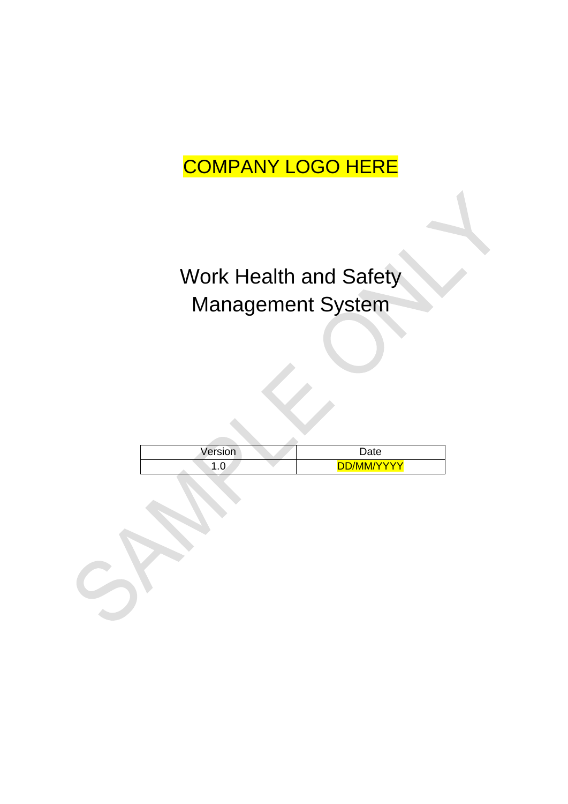#### COMPANY LOGO HERE

# Work Health and Safety Management System

| Version | Date       |
|---------|------------|
| ט.ו     | DD/MM/YYYY |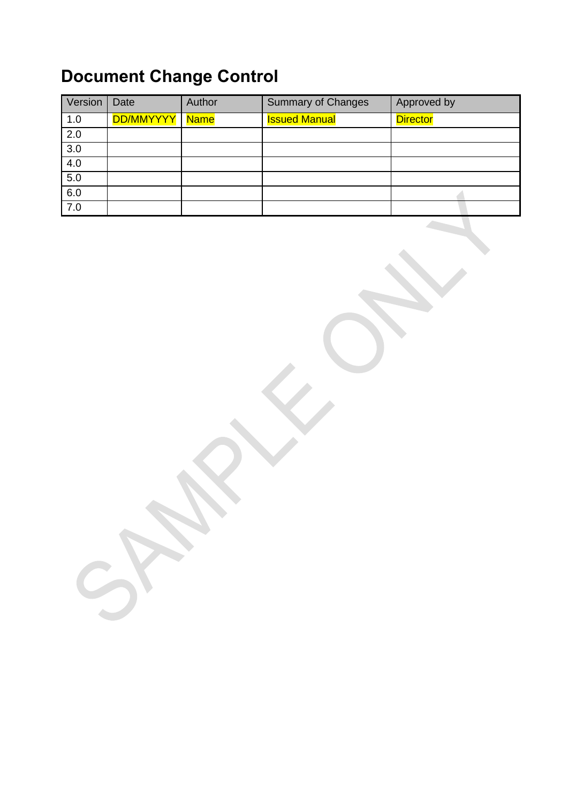#### **Document Change Control**

| Version | Date      | Author      | <b>Summary of Changes</b> | Approved by     |
|---------|-----------|-------------|---------------------------|-----------------|
| 1.0     | DD/MMYYYY | <b>Name</b> | <b>Issued Manual</b>      | <b>Director</b> |
| 2.0     |           |             |                           |                 |
| 3.0     |           |             |                           |                 |
| 4.0     |           |             |                           |                 |
| 5.0     |           |             |                           |                 |
| 6.0     |           |             |                           |                 |
| 7.0     |           |             |                           |                 |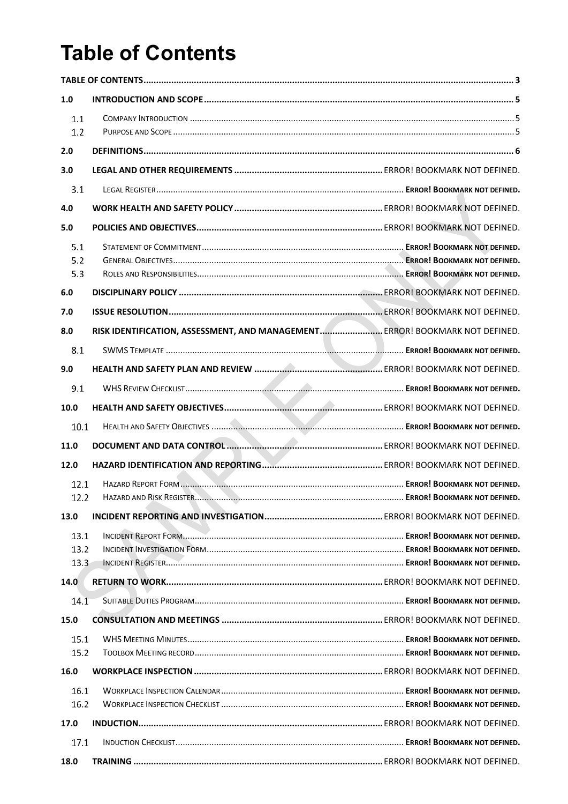### <span id="page-2-0"></span>**Table of Contents**

| 1.0  |                                                                                          |  |  |  |  |
|------|------------------------------------------------------------------------------------------|--|--|--|--|
| 1.1  |                                                                                          |  |  |  |  |
| 1.2  |                                                                                          |  |  |  |  |
| 2.0  |                                                                                          |  |  |  |  |
| 3.0  |                                                                                          |  |  |  |  |
| 3.1  |                                                                                          |  |  |  |  |
| 4.0  |                                                                                          |  |  |  |  |
| 5.0  |                                                                                          |  |  |  |  |
| 5.1  |                                                                                          |  |  |  |  |
| 5.2  |                                                                                          |  |  |  |  |
| 5.3  |                                                                                          |  |  |  |  |
| 6.0  |                                                                                          |  |  |  |  |
| 7.0  |                                                                                          |  |  |  |  |
| 8.0  | RISK IDENTIFICATION, ASSESSMENT, AND MANAGEMENT ERROR! BOOKMARK NOT DEFINED.             |  |  |  |  |
| 8.1  |                                                                                          |  |  |  |  |
| 9.0  |                                                                                          |  |  |  |  |
| 9.1  |                                                                                          |  |  |  |  |
| 10.0 |                                                                                          |  |  |  |  |
| 10.1 |                                                                                          |  |  |  |  |
| 11.0 |                                                                                          |  |  |  |  |
| 12.0 |                                                                                          |  |  |  |  |
| 12.1 |                                                                                          |  |  |  |  |
| 12.2 | HAZARD AND RISK REGISTER. <b>MARKET AND THE READER IN A SERVEY BOOKMARK NOT DEFINED.</b> |  |  |  |  |
| 13.0 |                                                                                          |  |  |  |  |
| 13.1 |                                                                                          |  |  |  |  |
| 13.2 |                                                                                          |  |  |  |  |
| 13.3 |                                                                                          |  |  |  |  |
| 14.0 |                                                                                          |  |  |  |  |
| 14.1 |                                                                                          |  |  |  |  |
| 15.0 |                                                                                          |  |  |  |  |
| 15.1 |                                                                                          |  |  |  |  |
| 15.2 |                                                                                          |  |  |  |  |
| 16.0 |                                                                                          |  |  |  |  |
| 16.1 |                                                                                          |  |  |  |  |
| 16.2 |                                                                                          |  |  |  |  |
| 17.0 |                                                                                          |  |  |  |  |
| 17.1 |                                                                                          |  |  |  |  |
| 18.0 |                                                                                          |  |  |  |  |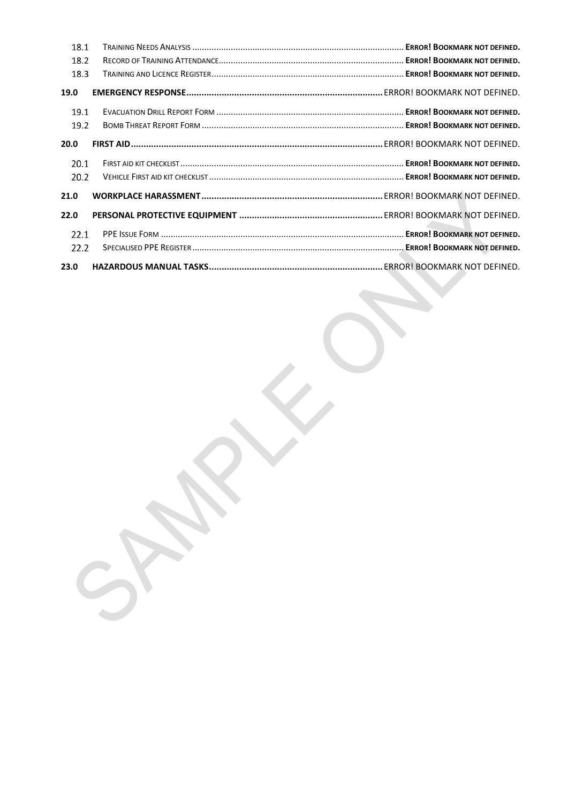| 18.1 |  |
|------|--|
| 18.2 |  |
| 18.3 |  |
| 19.0 |  |
| 19.1 |  |
| 19.2 |  |
| 20.0 |  |
| 20.1 |  |
| 20.2 |  |
| 21.0 |  |
| 22.0 |  |
| 22.1 |  |
| 22.2 |  |
| 23.0 |  |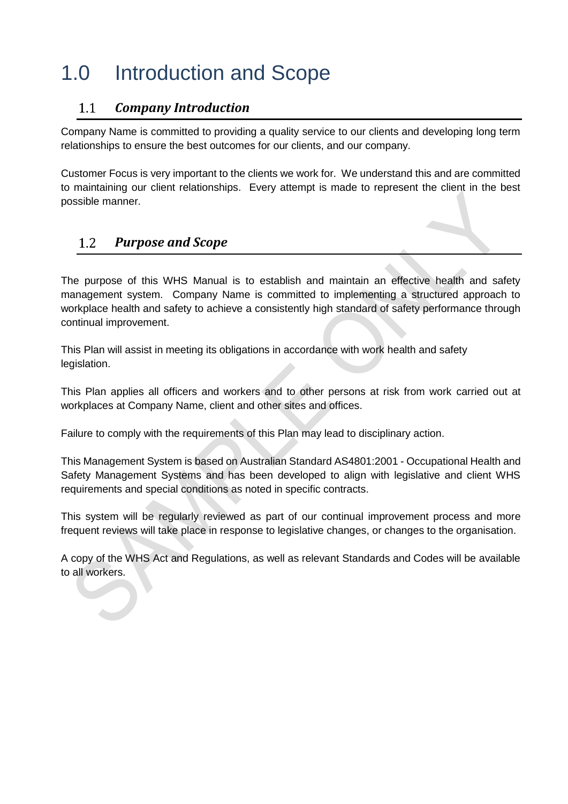### <span id="page-4-0"></span>1.0 Introduction and Scope

#### <span id="page-4-1"></span> $1.1$ *Company Introduction*

Company Name is committed to providing a quality service to our clients and developing long term relationships to ensure the best outcomes for our clients, and our company.

Customer Focus is very important to the clients we work for. We understand this and are committed to maintaining our client relationships. Every attempt is made to represent the client in the best possible manner.

#### <span id="page-4-2"></span>*Purpose and Scope*   $1.2$

The purpose of this WHS Manual is to establish and maintain an effective health and safety management system. Company Name is committed to implementing a structured approach to workplace health and safety to achieve a consistently high standard of safety performance through continual improvement.

This Plan will assist in meeting its obligations in accordance with work health and safety legislation.

This Plan applies all officers and workers and to other persons at risk from work carried out at workplaces at Company Name, client and other sites and offices.

Failure to comply with the requirements of this Plan may lead to disciplinary action.

This Management System is based on Australian Standard AS4801:2001 - Occupational Health and Safety Management Systems and has been developed to align with legislative and client WHS requirements and special conditions as noted in specific contracts.

This system will be regularly reviewed as part of our continual improvement process and more frequent reviews will take place in response to legislative changes, or changes to the organisation.

A copy of the WHS Act and Regulations, as well as relevant Standards and Codes will be available to all workers.